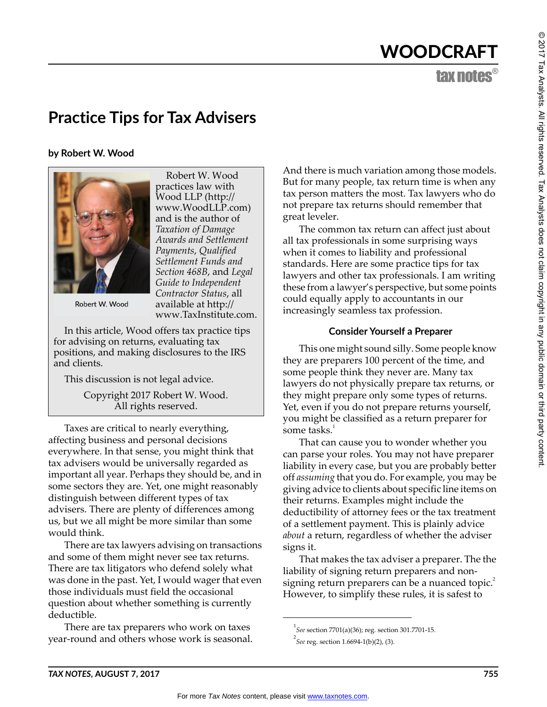# WOODCRAFT

tax notes®

# **Practice Tips for Tax Advisers**

**by Robert W. Wood**



Robert W. Wood practices law with Wood LLP (http:// www.WoodLLP.com) and is the author of *Taxation of Damage Awards and Settlement Payments*, *Qualified Settlement Funds and Section 468B*, and *Legal Guide to Independent Contractor Status*, all available at http:// www.TaxInstitute.com.

Robert W. Wood

In this article, Wood offers tax practice tips for advising on returns, evaluating tax positions, and making disclosures to the IRS and clients.

This discussion is not legal advice.

Copyright 2017 Robert W. Wood. All rights reserved.

Taxes are critical to nearly everything, affecting business and personal decisions everywhere. In that sense, you might think that tax advisers would be universally regarded as important all year. Perhaps they should be, and in some sectors they are. Yet, one might reasonably distinguish between different types of tax advisers. There are plenty of differences among us, but we all might be more similar than some would think.

There are tax lawyers advising on transactions and some of them might never see tax returns. There are tax litigators who defend solely what was done in the past. Yet, I would wager that even those individuals must field the occasional question about whether something is currently deductible.

There are tax preparers who work on taxes year-round and others whose work is seasonal. And there is much variation among those models. But for many people, tax return time is when any tax person matters the most. Tax lawyers who do not prepare tax returns should remember that great leveler.

The common tax return can affect just about all tax professionals in some surprising ways when it comes to liability and professional standards. Here are some practice tips for tax lawyers and other tax professionals. I am writing these from a lawyer's perspective, but some points could equally apply to accountants in our increasingly seamless tax profession.

# **Consider Yourself a Preparer**

This one might sound silly. Some people know they are preparers 100 percent of the time, and some people think they never are. Many tax lawyers do not physically prepare tax returns, or they might prepare only some types of returns. Yet, even if you do not prepare returns yourself, you might be classified as a return preparer for some tasks. $1$ 

That can cause you to wonder whether you can parse your roles. You may not have preparer liability in every case, but you are probably better off *assuming* that you do. For example, you may be giving advice to clients about specific line items on their returns. Examples might include the deductibility of attorney fees or the tax treatment of a settlement payment. This is plainly advice *about* a return, regardless of whether the adviser signs it.

That makes the tax adviser a preparer. The the liability of signing return preparers and nonsigning return preparers can be a nuanced topic.<sup>2</sup> However, to simplify these rules, it is safest to

<sup>1</sup> *See* section 7701(a)(36); reg. section 301.7701-15.

<sup>2</sup> *See* reg. section 1.6694-1(b)(2), (3).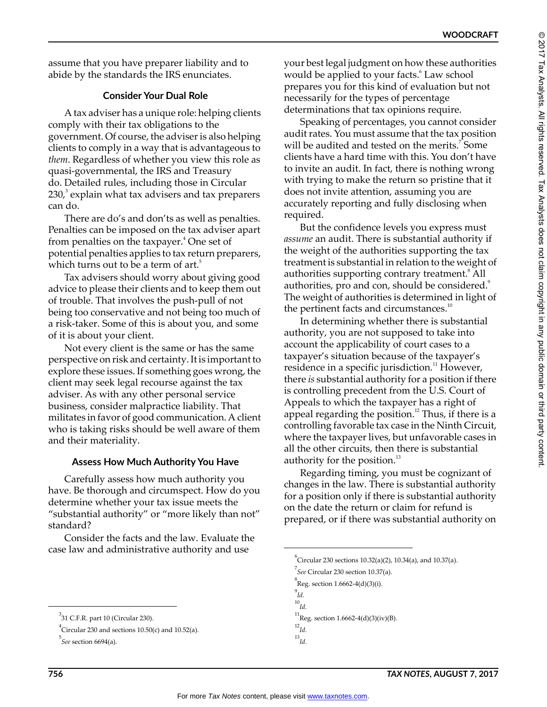assume that you have preparer liability and to abide by the standards the IRS enunciates.

# **Consider Your Dual Role**

A tax adviser has a unique role: helping clients comply with their tax obligations to the government. Of course, the adviser is also helping clients to comply in a way that is advantageous to *them*. Regardless of whether you view this role as quasi-governmental, the IRS and Treasury do. Detailed rules, including those in Circular  $230<sup>3</sup>$  explain what tax advisers and tax preparers can do.

There are do's and don'ts as well as penalties. Penalties can be imposed on the tax adviser apart from penalties on the taxpayer.<sup>4</sup> One set of potential penalties applies to tax return preparers, which turns out to be a term of art.<sup>5</sup>

Tax advisers should worry about giving good advice to please their clients and to keep them out of trouble. That involves the push-pull of not being too conservative and not being too much of a risk-taker. Some of this is about you, and some of it is about your client.

Not every client is the same or has the same perspective on risk and certainty. It is important to explore these issues. If something goes wrong, the client may seek legal recourse against the tax adviser. As with any other personal service business, consider malpractice liability. That militates in favor of good communication. A client who is taking risks should be well aware of them and their materiality.

# **Assess How Much Authority You Have**

Carefully assess how much authority you have. Be thorough and circumspect. How do you determine whether your tax issue meets the "substantial authority" or "more likely than not" standard?

Consider the facts and the law. Evaluate the case law and administrative authority and use

your best legal judgment on how these authorities would be applied to your facts.<sup>6</sup> Law school prepares you for this kind of evaluation but not necessarily for the types of percentage determinations that tax opinions require.

Speaking of percentages, you cannot consider audit rates. You must assume that the tax position will be audited and tested on the merits.<sup>7</sup> Some clients have a hard time with this. You don't have to invite an audit. In fact, there is nothing wrong with trying to make the return so pristine that it does not invite attention, assuming you are accurately reporting and fully disclosing when required.

But the confidence levels you express must *assume* an audit. There is substantial authority if the weight of the authorities supporting the tax treatment is substantial in relation to the weight of authorities supporting contrary treatment.<sup>8</sup> All authorities, pro and con, should be considered.<sup>9</sup> The weight of authorities is determined in light of the pertinent facts and circumstances. $10$ 

In determining whether there is substantial authority, you are not supposed to take into account the applicability of court cases to a taxpayer's situation because of the taxpayer's residence in a specific jurisdiction.<sup>11</sup> However, there *is* substantial authority for a position if there is controlling precedent from the U.S. Court of Appeals to which the taxpayer has a right of appeal regarding the position.<sup>12</sup> Thus, if there is a controlling favorable tax case in the Ninth Circuit, where the taxpayer lives, but unfavorable cases in all the other circuits, then there is substantial authority for the position. $13$ 

Regarding timing, you must be cognizant of changes in the law. There is substantial authority for a position only if there is substantial authority on the date the return or claim for refund is prepared, or if there was substantial authority on

 $^3$ 31 C.F.R. part 10 (Circular 230).

 $^4$ Circular 230 and sections 10.50(c) and 10.52(a).

<sup>5</sup> *See* section 6694(a).

 $\rm ^{6}$ Circular 230 sections 10.32(a)(2), 10.34(a), and 10.37(a).

<sup>7</sup> *See* Circular 230 section 10.37(a).

 ${}^{8}$ Reg. section 1.6662-4(d)(3)(i).

<sup>9</sup> *Id.*

 $^{10}\!Id.$ 

 $^{11}$ Reg. section 1.6662-4(d)(3)(iv)(B).

<sup>12</sup> *Id.* <sup>13</sup>*Id.*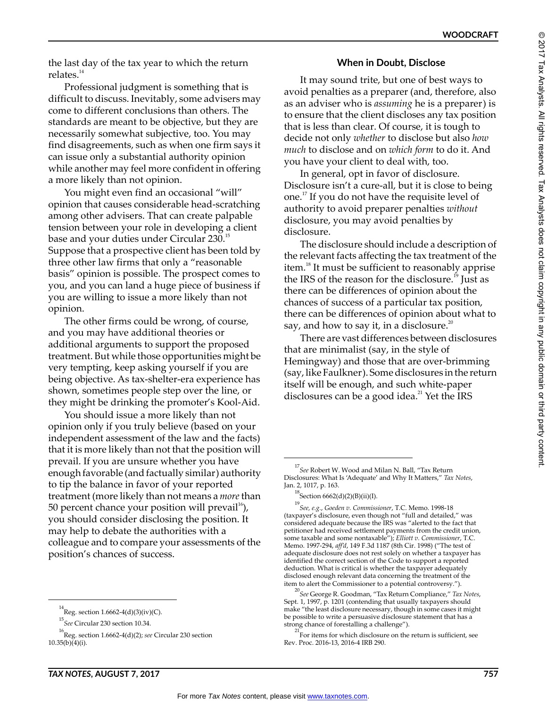the last day of the tax year to which the return relates. $14$ 

Professional judgment is something that is difficult to discuss. Inevitably, some advisers may come to different conclusions than others. The standards are meant to be objective, but they are necessarily somewhat subjective, too. You may find disagreements, such as when one firm says it can issue only a substantial authority opinion while another may feel more confident in offering a more likely than not opinion.

You might even find an occasional "will" opinion that causes considerable head-scratching among other advisers. That can create palpable tension between your role in developing a client base and your duties under Circular 230.<sup>15</sup> Suppose that a prospective client has been told by three other law firms that only a "reasonable basis" opinion is possible. The prospect comes to you, and you can land a huge piece of business if you are willing to issue a more likely than not opinion.

The other firms could be wrong, of course, and you may have additional theories or additional arguments to support the proposed treatment. But while those opportunities might be very tempting, keep asking yourself if you are being objective. As tax-shelter-era experience has shown, sometimes people step over the line, or they might be drinking the promoter's Kool-Aid.

You should issue a more likely than not opinion only if you truly believe (based on your independent assessment of the law and the facts) that it is more likely than not that the position will prevail. If you are unsure whether you have enough favorable (and factually similar) authority to tip the balance in favor of your reported treatment (more likely than not means a *more* than 50 percent chance your position will prevail<sup>16</sup>), you should consider disclosing the position. It may help to debate the authorities with a colleague and to compare your assessments of the position's chances of success.

# **When in Doubt, Disclose**

It may sound trite, but one of best ways to avoid penalties as a preparer (and, therefore, also as an adviser who is *assuming* he is a preparer) is to ensure that the client discloses any tax position that is less than clear. Of course, it is tough to decide not only *whether* to disclose but also *how much* to disclose and on *which form* to do it. And you have your client to deal with, too.

In general, opt in favor of disclosure. Disclosure isn't a cure-all, but it is close to being one.17 If you do not have the requisite level of authority to avoid preparer penalties *without* disclosure, you may avoid penalties by disclosure.

The disclosure should include a description of the relevant facts affecting the tax treatment of the item.<sup>18</sup> It must be sufficient to reasonably apprise the IRS of the reason for the disclosure.<sup>19</sup> Just as there can be differences of opinion about the chances of success of a particular tax position, there can be differences of opinion about what to say, and how to say it, in a disclosure.<sup>20</sup>

There are vast differences between disclosures that are minimalist (say, in the style of Hemingway) and those that are over-brimming (say, like Faulkner). Some disclosures in the return itself will be enough, and such white-paper disclosures can be a good idea. $^{21}$  Yet the IRS

<sup>14</sup> Reg. section 1.6662-4(d)(3)(iv)(C).

<sup>15</sup> *See* Circular 230 section 10.34.

<sup>16</sup>Reg. section 1.6662-4(d)(2); *see* Circular 230 section  $10.35(b)(4)(i)$ .

<sup>17</sup> *See* Robert W. Wood and Milan N. Ball, "Tax Return Disclosures: What Is 'Adequate' and Why It Matters," *Tax Notes*, Jan. 2, 1017, p. 163.

 $^{18}$ Section 6662(d)(2)(B)(ii)(I).

<sup>19</sup>*See, e.g.*, *Goeden v. Commissioner*, T.C. Memo. 1998-18 (taxpayer's disclosure, even though not "full and detailed," was considered adequate because the IRS was "alerted to the fact that petitioner had received settlement payments from the credit union, some taxable and some nontaxable"); *Elliott v. Commissioner*, T.C. Memo. 1997-294, *aff'd*, 149 F.3d 1187 (8th Cir. 1998) ("The test of adequate disclosure does not rest solely on whether a taxpayer has identified the correct section of the Code to support a reported deduction. What is critical is whether the taxpayer adequately disclosed enough relevant data concerning the treatment of the item to alert the Commissioner to a potential controversy.").

<sup>20</sup>*See* George R. Goodman, "Tax Return Compliance," *Tax Notes*, Sept. 1, 1997, p. 1201 (contending that usually taxpayers should make "the least disclosure necessary, though in some cases it might be possible to write a persuasive disclosure statement that has a strong chance of forestalling a challenge").

 $21$  For items for which disclosure on the return is sufficient, see Rev. Proc. 2016-13, 2016-4 IRB 290.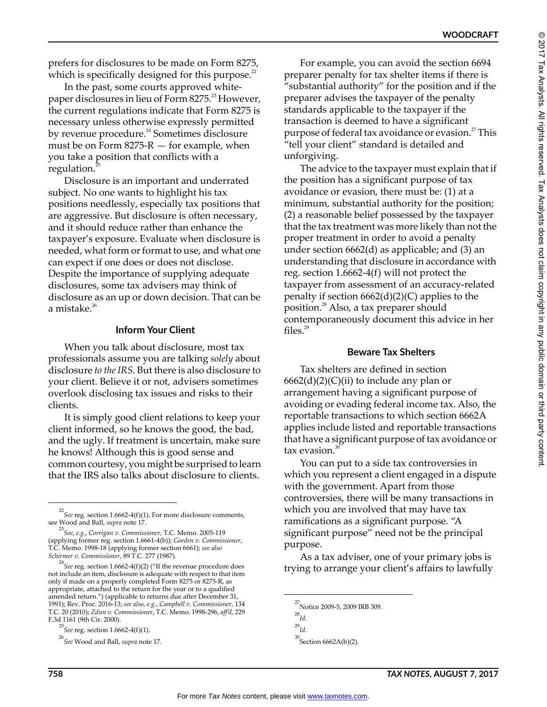prefers for disclosures to be made on Form 8275, which is specifically designed for this purpose. $^{22}$ 

In the past, some courts approved whitepaper disclosures in lieu of Form 8275.<sup>23</sup> However, the current regulations indicate that Form 8275 is necessary unless otherwise expressly permitted by revenue procedure.<sup>24</sup> Sometimes disclosure must be on Form  $8275-R$  – for example, when you take a position that conflicts with a regulation.<sup>2</sup>

Disclosure is an important and underrated subject. No one wants to highlight his tax positions needlessly, especially tax positions that are aggressive. But disclosure is often necessary, and it should reduce rather than enhance the taxpayer's exposure. Evaluate when disclosure is needed, what form or format to use, and what one can expect if one does or does not disclose. Despite the importance of supplying adequate disclosures, some tax advisers may think of disclosure as an up or down decision. That can be a mistake. $26$ 

#### **Inform Your Client**

When you talk about disclosure, most tax professionals assume you are talking *solely* about disclosure *to the IRS*. But there is also disclosure to your client. Believe it or not, advisers sometimes overlook disclosing tax issues and risks to their clients.

It is simply good client relations to keep your client informed, so he knows the good, the bad, and the ugly. If treatment is uncertain, make sure he knows! Although this is good sense and common courtesy, you might be surprised to learn that the IRS also talks about disclosure to clients.

For example, you can avoid the section 6694 preparer penalty for tax shelter items if there is "substantial authority" for the position and if the preparer advises the taxpayer of the penalty standards applicable to the taxpayer if the transaction is deemed to have a significant purpose of federal tax avoidance or evasion.<sup>27</sup> This "tell your client" standard is detailed and unforgiving.

The advice to the taxpayer must explain that if the position has a significant purpose of tax avoidance or evasion, there must be: (1) at a minimum, substantial authority for the position; (2) a reasonable belief possessed by the taxpayer that the tax treatment was more likely than not the proper treatment in order to avoid a penalty under section 6662(d) as applicable; and (3) an understanding that disclosure in accordance with reg. section 1.6662-4(f) will not protect the taxpayer from assessment of an accuracy-related penalty if section  $6662(d)(2)(C)$  applies to the position.<sup>28</sup> Also, a tax preparer should contemporaneously document this advice in her files. $^{29}$ 

#### **Beware Tax Shelters**

Tax shelters are defined in section  $6662(d)(2)(C)(ii)$  to include any plan or arrangement having a significant purpose of avoiding or evading federal income tax. Also, the reportable transactions to which section 6662A applies include listed and reportable transactions that have a significant purpose of tax avoidance or tax evasion. $30$ 

You can put to a side tax controversies in which you represent a client engaged in a dispute with the government. Apart from those controversies, there will be many transactions in which you are involved that may have tax ramifications as a significant purpose. "A significant purpose" need not be the principal purpose.

As a tax adviser, one of your primary jobs is trying to arrange your client's affairs to lawfully

<sup>22</sup> *See* reg. section 1.6662-4(f)(1). For more disclosure comments,

see Wood and Ball, *supra* note 17. 23 *See*, *e.g.*, *Corrigan v. Commissioner*, T.C. Memo. 2005-119 (applying former reg. section 1.6661-4(b)); *Goeden v. Commissioner*, T.C. Memo. 1998-18 (applying former section 6661); *see also Schirmer v. Commissioner*, 89 T.C. 277 (1987).

<sup>24</sup> *See* reg. section 1.6662-4(f)(2) ("If the revenue procedure does not include an item, disclosure is adequate with respect to that item only if made on a properly completed Form 8275 or 8275-R, as appropriate, attached to the return for the year or to a qualified amended return.") (applicable to returns due after December 31, 1991); Rev. Proc. 2016-13; *see also*, *e.g.*, *Campbell v. Commissioner*, 134 T.C. 20 (2010); *Zdun v. Commissioner*, T.C. Memo. 1998-296, *aff'd*, 229 F.3d 1161 (9th Cir. 2000).

<sup>25</sup> *See* reg. section 1.6662-4(f)(1).

<sup>26</sup>*See* Wood and Ball, *supra* note 17.

 $^{27}$ Notice 2009-5, 2009 IRB 309.

<sup>28</sup> *Id.*

<sup>29</sup> *Id.*

 $30$ Section 6662A(b)(2).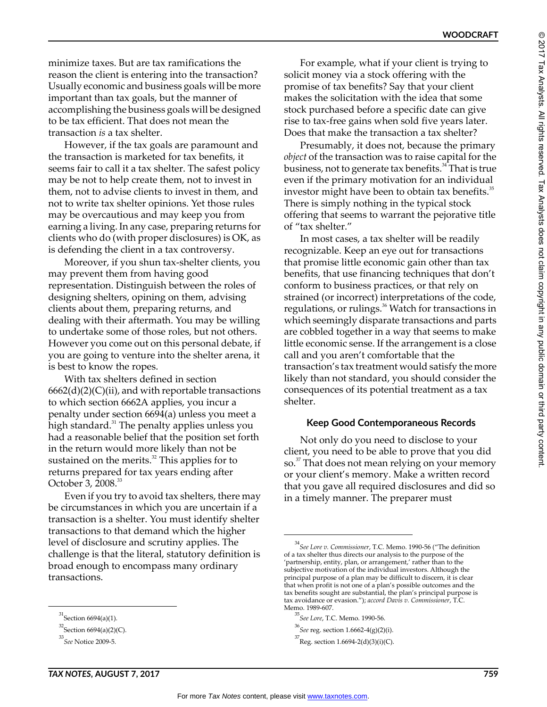minimize taxes. But are tax ramifications the reason the client is entering into the transaction? Usually economic and business goals will be more important than tax goals, but the manner of accomplishing the business goals will be designed to be tax efficient. That does not mean the transaction *is* a tax shelter.

However, if the tax goals are paramount and the transaction is marketed for tax benefits, it seems fair to call it a tax shelter. The safest policy may be not to help create them, not to invest in them, not to advise clients to invest in them, and not to write tax shelter opinions. Yet those rules may be overcautious and may keep you from earning a living. In any case, preparing returns for clients who do (with proper disclosures) is OK, as is defending the client in a tax controversy.

Moreover, if you shun tax-shelter clients, you may prevent them from having good representation. Distinguish between the roles of designing shelters, opining on them, advising clients about them, preparing returns, and dealing with their aftermath. You may be willing to undertake some of those roles, but not others. However you come out on this personal debate, if you are going to venture into the shelter arena, it is best to know the ropes.

With tax shelters defined in section  $6662(d)(2)(C)(ii)$ , and with reportable transactions to which section 6662A applies, you incur a penalty under section 6694(a) unless you meet a high standard. $31$  The penalty applies unless you had a reasonable belief that the position set forth in the return would more likely than not be sustained on the merits.<sup>32</sup> This applies for to returns prepared for tax years ending after October 3, 2008.<sup>33</sup>

Even if you try to avoid tax shelters, there may be circumstances in which you are uncertain if a transaction is a shelter. You must identify shelter transactions to that demand which the higher level of disclosure and scrutiny applies. The challenge is that the literal, statutory definition is broad enough to encompass many ordinary transactions.

For example, what if your client is trying to solicit money via a stock offering with the promise of tax benefits? Say that your client makes the solicitation with the idea that some stock purchased before a specific date can give rise to tax-free gains when sold five years later. Does that make the transaction a tax shelter?

Presumably, it does not, because the primary *object* of the transaction was to raise capital for the business, not to generate tax benefits.<sup>34</sup> That is true even if the primary motivation for an individual investor might have been to obtain tax benefits.<sup>35</sup> There is simply nothing in the typical stock offering that seems to warrant the pejorative title of "tax shelter."

In most cases, a tax shelter will be readily recognizable. Keep an eye out for transactions that promise little economic gain other than tax benefits, that use financing techniques that don't conform to business practices, or that rely on strained (or incorrect) interpretations of the code, regulations, or rulings.<sup>36</sup> Watch for transactions in which seemingly disparate transactions and parts are cobbled together in a way that seems to make little economic sense. If the arrangement is a close call and you aren't comfortable that the transaction's tax treatment would satisfy the more likely than not standard, you should consider the consequences of its potential treatment as a tax shelter.

# **Keep Good Contemporaneous Records**

Not only do you need to disclose to your client, you need to be able to prove that you did so.<sup>37</sup> That does not mean relying on your memory or your client's memory. Make a written record that you gave all required disclosures and did so in a timely manner. The preparer must

 $^{31}$ Section 6694(a)(1).

 $^{32}$ Section 6694(a)(2)(C).

<sup>33</sup>*See* Notice 2009-5.

<sup>34</sup>*See Lore v. Commissioner*, T.C. Memo. 1990-56 ("The definition of a tax shelter thus directs our analysis to the purpose of the 'partnership, entity, plan, or arrangement,' rather than to the subjective motivation of the individual investors. Although the principal purpose of a plan may be difficult to discern, it is clear that when profit is not one of a plan's possible outcomes and the tax benefits sought are substantial, the plan's principal purpose is tax avoidance or evasion."); *accord Davis v. Commissioner*, T.C. Memo. 1989-607.

<sup>35</sup> *See Lore*, T.C. Memo. 1990-56.

<sup>36</sup> *See* reg. section 1.6662-4(g)(2)(i).

 $^{37}$ Reg. section 1.6694-2(d)(3)(i)(C).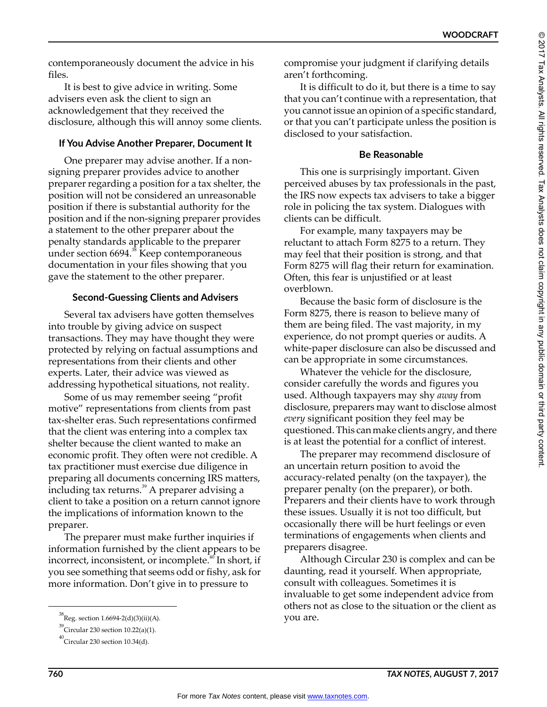contemporaneously document the advice in his files.

It is best to give advice in writing. Some advisers even ask the client to sign an acknowledgement that they received the disclosure, although this will annoy some clients.

# **If You Advise Another Preparer, Document It**

One preparer may advise another. If a nonsigning preparer provides advice to another preparer regarding a position for a tax shelter, the position will not be considered an unreasonable position if there is substantial authority for the position and if the non-signing preparer provides a statement to the other preparer about the penalty standards applicable to the preparer under section 6694.<sup>38</sup> Keep contemporaneous documentation in your files showing that you gave the statement to the other preparer.

# **Second-Guessing Clients and Advisers**

Several tax advisers have gotten themselves into trouble by giving advice on suspect transactions. They may have thought they were protected by relying on factual assumptions and representations from their clients and other experts. Later, their advice was viewed as addressing hypothetical situations, not reality.

Some of us may remember seeing "profit motive" representations from clients from past tax-shelter eras. Such representations confirmed that the client was entering into a complex tax shelter because the client wanted to make an economic profit. They often were not credible. A tax practitioner must exercise due diligence in preparing all documents concerning IRS matters, including tax returns.<sup>39</sup> A preparer advising a client to take a position on a return cannot ignore the implications of information known to the preparer.

The preparer must make further inquiries if information furnished by the client appears to be incorrect, inconsistent, or incomplete.<sup>40</sup> In short, if you see something that seems odd or fishy, ask for more information. Don't give in to pressure to

compromise your judgment if clarifying details aren't forthcoming.

It is difficult to do it, but there is a time to say that you can't continue with a representation, that you cannot issue an opinion of a specific standard, or that you can't participate unless the position is disclosed to your satisfaction.

# **Be Reasonable**

This one is surprisingly important. Given perceived abuses by tax professionals in the past, the IRS now expects tax advisers to take a bigger role in policing the tax system. Dialogues with clients can be difficult.

For example, many taxpayers may be reluctant to attach Form 8275 to a return. They may feel that their position is strong, and that Form 8275 will flag their return for examination. Often, this fear is unjustified or at least overblown.

Because the basic form of disclosure is the Form 8275, there is reason to believe many of them are being filed. The vast majority, in my experience, do not prompt queries or audits. A white-paper disclosure can also be discussed and can be appropriate in some circumstances.

Whatever the vehicle for the disclosure, consider carefully the words and figures you used. Although taxpayers may shy *away* from disclosure, preparers may want to disclose almost *every* significant position they feel may be questioned. This can make clients angry, and there is at least the potential for a conflict of interest.

The preparer may recommend disclosure of an uncertain return position to avoid the accuracy-related penalty (on the taxpayer), the preparer penalty (on the preparer), or both. Preparers and their clients have to work through these issues. Usually it is not too difficult, but occasionally there will be hurt feelings or even terminations of engagements when clients and preparers disagree.

Although Circular 230 is complex and can be daunting, read it yourself. When appropriate, consult with colleagues. Sometimes it is invaluable to get some independent advice from others not as close to the situation or the client as

 ${}^{38}$ Reg. section 1.6694-2(d)(3)(ii)(A).  ${}^{38}$   $\times$   ${}^{39}$   $\times$   ${}^{30}$   $\times$   ${}^{30}$   $\times$   ${}^{30}$ 

 $^{39}$ Circular 230 section 10.22(a)(1).

 $^{40}$ Circular 230 section 10.34(d).